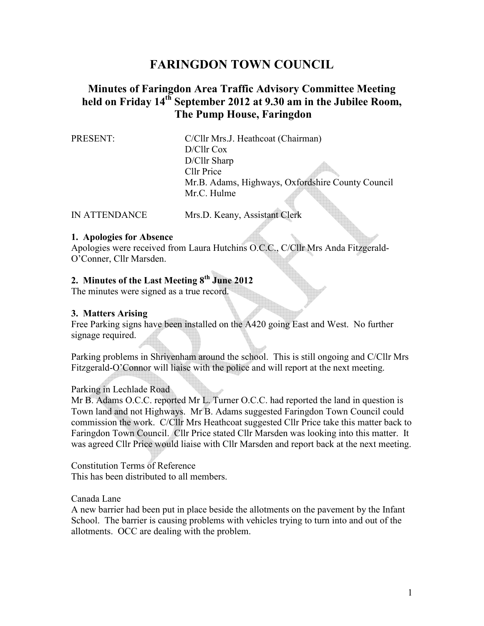# **FARINGDON TOWN COUNCIL**

# **Minutes of Faringdon Area Traffic Advisory Committee Meeting held on Friday 14th September 2012 at 9.30 am in the Jubilee Room, The Pump House, Faringdon**

PRESENT: C/Cllr Mrs.J. Heathcoat (Chairman) D/Cllr Cox D/Cllr Sharp Cllr Price Mr.B. Adams, Highways, Oxfordshire County Council Mr.C. Hulme

IN ATTENDANCE Mrs.D. Keany, Assistant Clerk

#### **1. Apologies for Absence**

Apologies were received from Laura Hutchins O.C.C., C/Cllr Mrs Anda Fitzgerald-O'Conner, Cllr Marsden.

# **2. Minutes of the Last Meeting 8th June 2012**

The minutes were signed as a true record.

#### **3. Matters Arising**

Free Parking signs have been installed on the A420 going East and West. No further signage required.

Parking problems in Shrivenham around the school. This is still ongoing and C/Cllr Mrs Fitzgerald-O'Connor will liaise with the police and will report at the next meeting.

### Parking in Lechlade Road

Mr B. Adams O.C.C. reported Mr L. Turner O.C.C. had reported the land in question is Town land and not Highways. Mr B. Adams suggested Faringdon Town Council could commission the work. C/Cllr Mrs Heathcoat suggested Cllr Price take this matter back to Faringdon Town Council. Cllr Price stated Cllr Marsden was looking into this matter. It was agreed Cllr Price would liaise with Cllr Marsden and report back at the next meeting.

Constitution Terms of Reference This has been distributed to all members.

Canada Lane

A new barrier had been put in place beside the allotments on the pavement by the Infant School. The barrier is causing problems with vehicles trying to turn into and out of the allotments. OCC are dealing with the problem.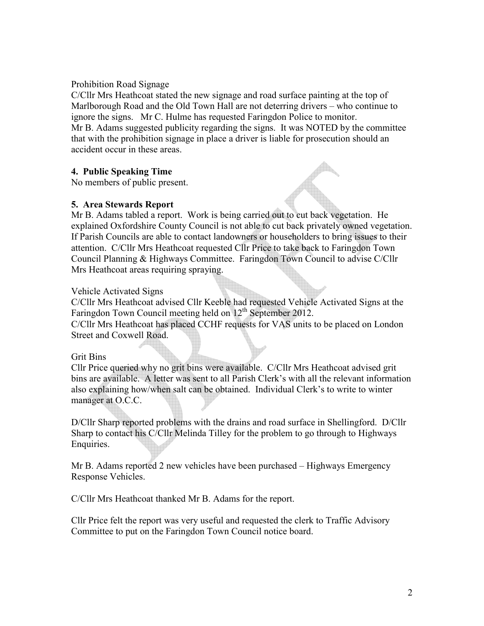Prohibition Road Signage

C/Cllr Mrs Heathcoat stated the new signage and road surface painting at the top of Marlborough Road and the Old Town Hall are not deterring drivers – who continue to ignore the signs. Mr C. Hulme has requested Faringdon Police to monitor. Mr B. Adams suggested publicity regarding the signs. It was NOTED by the committee that with the prohibition signage in place a driver is liable for prosecution should an accident occur in these areas.

## **4. Public Speaking Time**

No members of public present.

### **5. Area Stewards Report**

Mr B. Adams tabled a report. Work is being carried out to cut back vegetation. He explained Oxfordshire County Council is not able to cut back privately owned vegetation. If Parish Councils are able to contact landowners or householders to bring issues to their attention. C/Cllr Mrs Heathcoat requested Cllr Price to take back to Faringdon Town Council Planning & Highways Committee. Faringdon Town Council to advise C/Cllr Mrs Heathcoat areas requiring spraying.

#### Vehicle Activated Signs

C/Cllr Mrs Heathcoat advised Cllr Keeble had requested Vehicle Activated Signs at the Faringdon Town Council meeting held on 12<sup>th</sup> September 2012. C/Cllr Mrs Heathcoat has placed CCHF requests for VAS units to be placed on London Street and Coxwell Road.

#### Grit Bins

Cllr Price queried why no grit bins were available. C/Cllr Mrs Heathcoat advised grit bins are available. A letter was sent to all Parish Clerk's with all the relevant information also explaining how/when salt can be obtained. Individual Clerk's to write to winter manager at O.C.C.

D/Cllr Sharp reported problems with the drains and road surface in Shellingford. D/Cllr Sharp to contact his C/Cllr Melinda Tilley for the problem to go through to Highways Enquiries.

Mr B. Adams reported 2 new vehicles have been purchased – Highways Emergency Response Vehicles.

C/Cllr Mrs Heathcoat thanked Mr B. Adams for the report.

Cllr Price felt the report was very useful and requested the clerk to Traffic Advisory Committee to put on the Faringdon Town Council notice board.